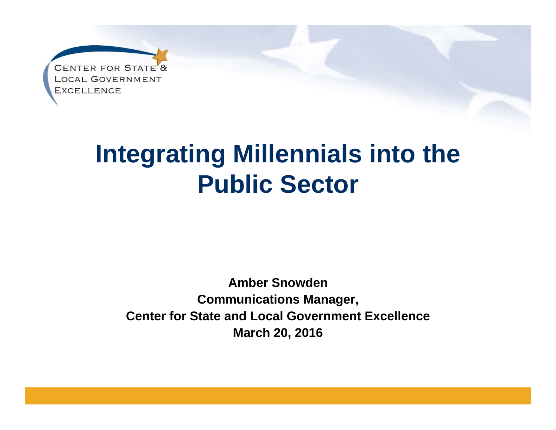

### **Integrating Millennials into the Public Sector**

**Amber SnowdenCommunications Manager, Center for State and Local Government Excellence March 20, 2016**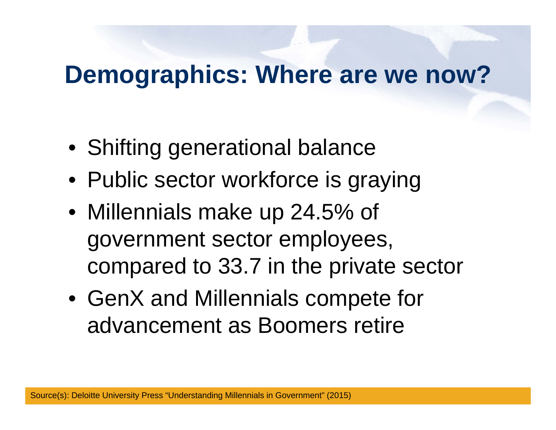### **Demographics: Where are we now?**

- Shifting generational balance
- Public sector workforce is graying
- Millennials make up 24.5% of government sector employees, compared to 33.7 in the private sector
- GenX and Millennials compete for advancement as Boomers retire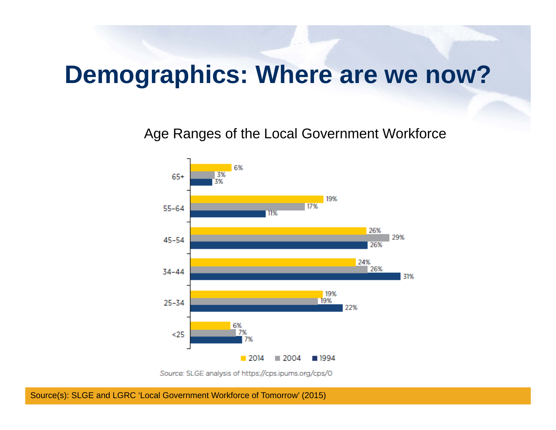#### **Demographics: Where are we now?**

Age Ranges of the Local Government Workforce



Source: SLGE analysis of https://cps.ipums.org/cps/0

Source(s): SLGE and LGRC 'Local Government Workforce of Tomorrow' (2015)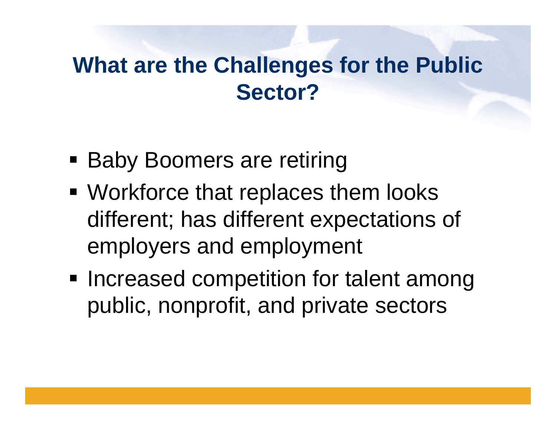### **What are the Challenges for the Public Sector?**

- **Baby Boomers are retiring**
- Workforce that replaces them looks different; has different expectations of employers and employment
- **Increased competition for talent among** public, nonprofit, and private sectors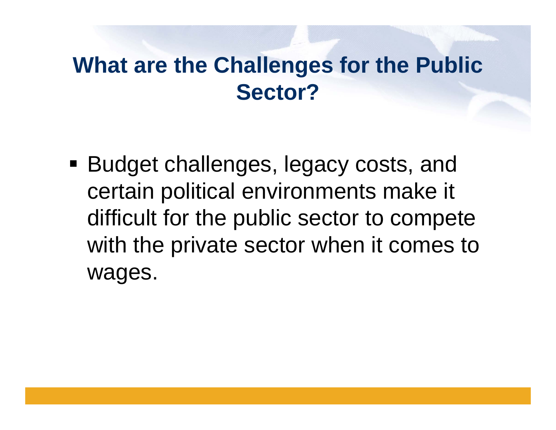### **What are the Challenges for the Public Sector?**

 Budget challenges, legacy costs, and certain political environments make it difficult for the public sector to compete with the private sector when it comes to wages.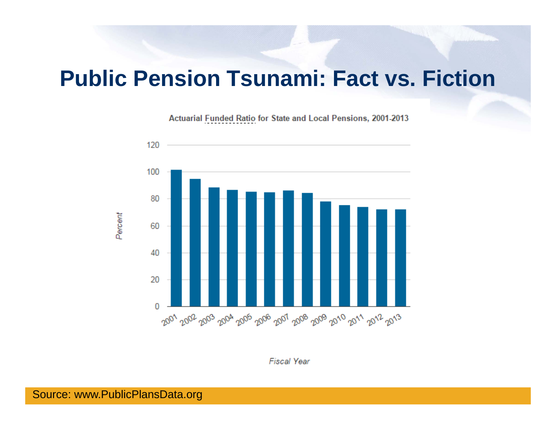#### **Public Pension Tsunami: Fact vs. Fiction**

Actuarial Funded Ratio for State and Local Pensions, 2001-2013



**Fiscal Year**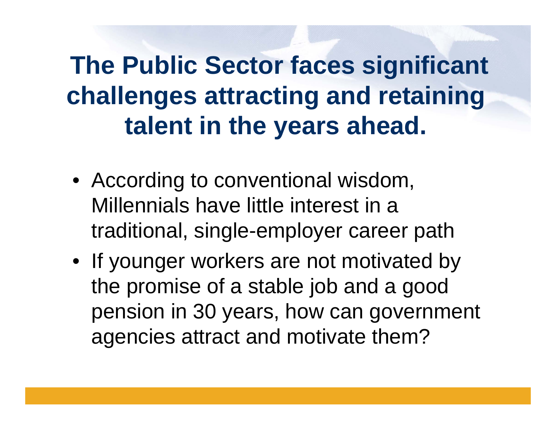## **The Public Sector faces significant challenges attracting and retaining talent in the years ahead.**

- According to conventional wisdom, Millennials have little interest in a traditional, single-employer career path
- If younger workers are not motivated by the promise of a stable job and a good pension in 30 years, how can government agencies attract and motivate them?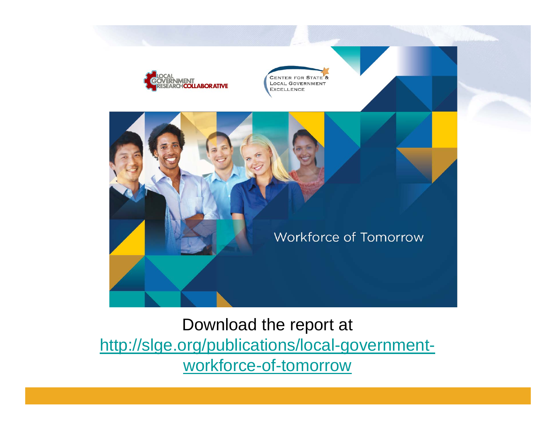

Download the report at http://slge.org/publications/local-governmentworkforce-of-tomorrow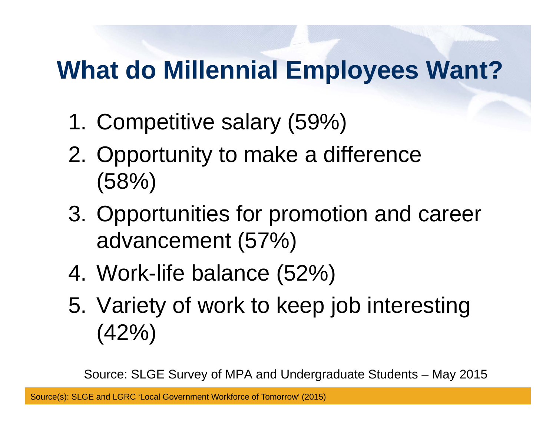## **What do Millennial Employees Want?**

- 1. Competitive salary (59%)
- 2. Opportunity to make a difference (58%)
- 3. Opportunities for promotion and career advancement (57%)
- 4. Work-life balance (52%)
- 5. Variety of work to keep job interesting  $(42\%)$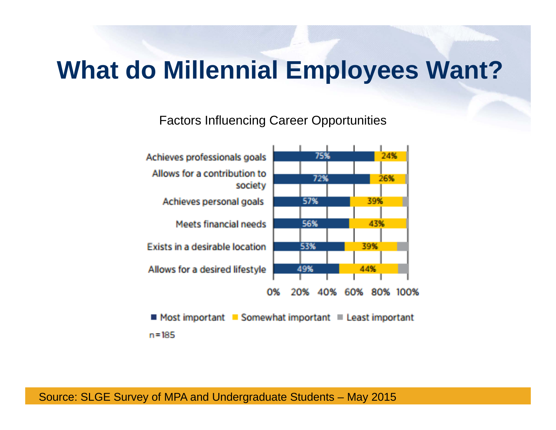### **What do Millennial Employees Want?**

Factors Influencing Career Opportunities



 $n = 185$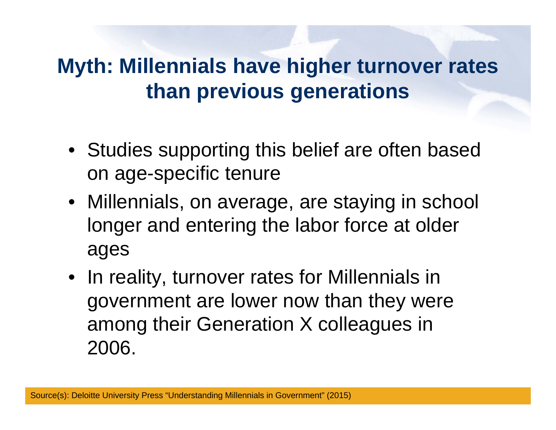#### **Myth: Millennials have higher turnover rates than previous generations**

- Studies supporting this belief are often based on age-specific tenure
- Millennials, on average, are staying in school longer and entering the labor force at older ages
- In reality, turnover rates for Millennials in government are lower now than they were among their Generation X colleagues in 2006.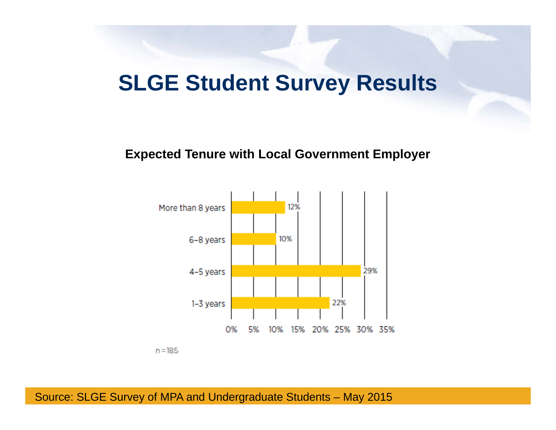#### **SLGE Student Survey Results**

#### **Expected Tenure with Local Government Employer**



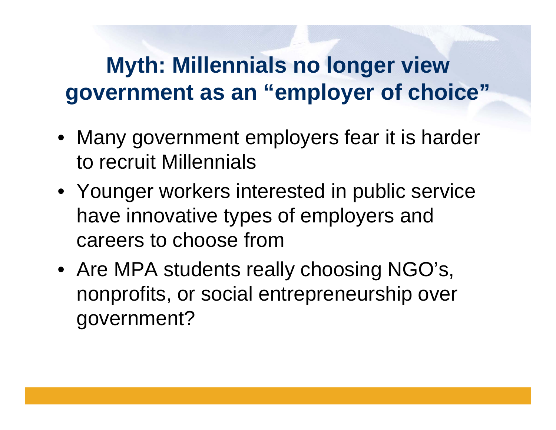### **Myth: Millennials no longer view government as an "employer of choice"**

- Many government employers fear it is harder to recruit Millennials
- Younger workers interested in public service have innovative types of employers and careers to choose from
- Are MPA students really choosing NGO's, nonprofits, or social entrepreneurship over government?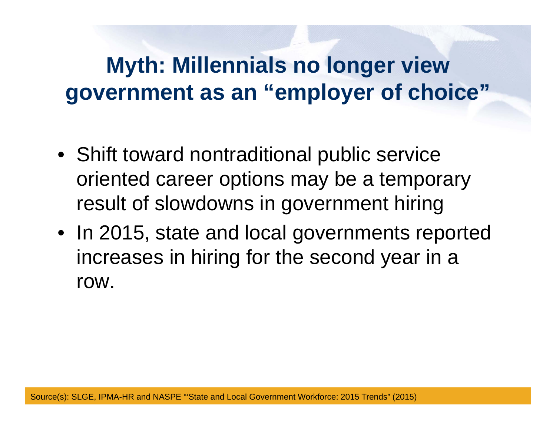### **Myth: Millennials no longer view government as an "employer of choice"**

- Shift toward nontraditional public service oriented career options may be a temporary result of slowdowns in government hiring
- In 2015, state and local governments reported increases in hiring for the second year in a row.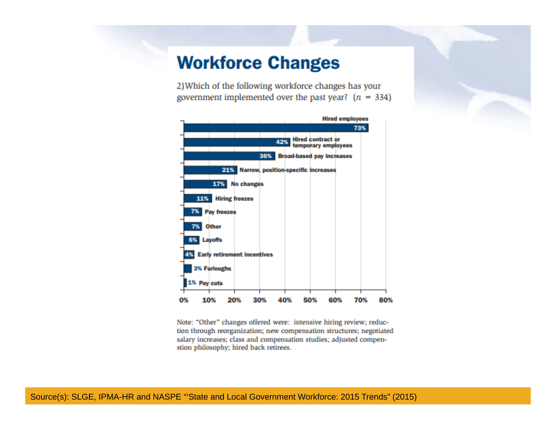#### **Workforce Changes**

2) Which of the following workforce changes has your government implemented over the past year?  $(n = 334)$ 



Note: "Other" changes offered were: intensive hiring review; reduction through reorganization; new compensation structures; negotiated salary increases; class and compensation studies; adjusted compenstion philosophy; hired back retirees.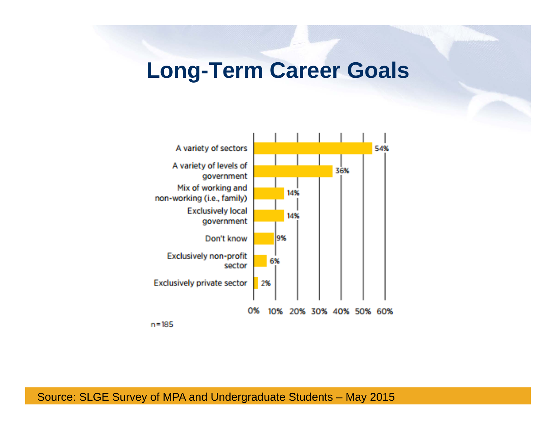#### **Long-Term Career Goals**

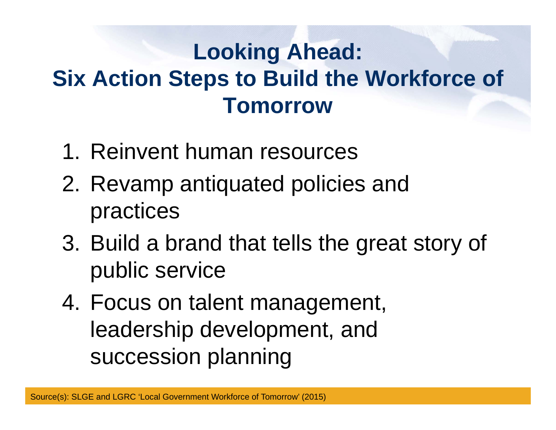### **Looking Ahead: Six Action Steps to Build the Workforce of Tomorrow**

- 1. Reinvent human resources
- 2. Revamp antiquated policies and practices
- 3. Build a brand that tells the great story of public service
- 4. Focus on talent management, leadership development, and succession planning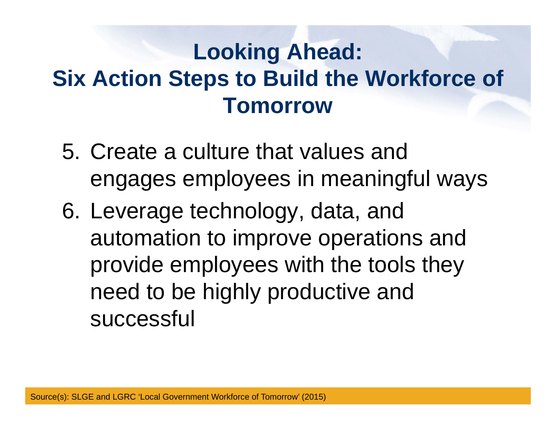### **Looking Ahead: Six Action Steps to Build the Workforce of Tomorrow**

- 5. Create a culture that values and engages employees in meaningful ways
- 6. Leverage technology, data, and automation to improve operations and provide employees with the tools they need to be highly productive and successful